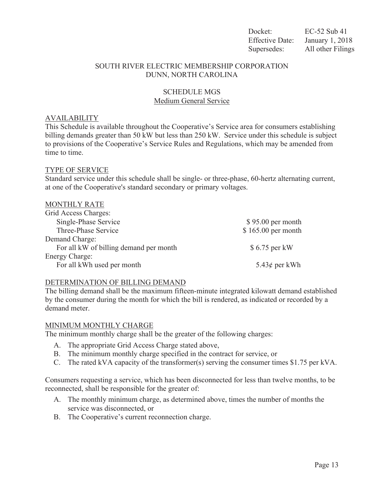Docket: EC-52 Sub 41 Effective Date: January 1, 2018 Supersedes: All other Filings

### SOUTH RIVER ELECTRIC MEMBERSHIP CORPORATION DUNN, NORTH CAROLINA

# SCHEDULE MGS Medium General Service

### AVAILABILITY

This Schedule is available throughout the Cooperative's Service area for consumers establishing billing demands greater than 50 kW but less than 250 kW. Service under this schedule is subject to provisions of the Cooperative's Service Rules and Regulations, which may be amended from time to time.

### TYPE OF SERVICE

Standard service under this schedule shall be single- or three-phase, 60-hertz alternating current, at one of the Cooperative's standard secondary or primary voltages.

| <b>MONTHLY RATE</b>                    |                    |
|----------------------------------------|--------------------|
| Grid Access Charges:                   |                    |
| Single-Phase Service                   | $$95.00$ per month |
| Three-Phase Service                    | \$165.00 per month |
| Demand Charge:                         |                    |
| For all kW of billing demand per month | \$6.75 per kW      |
| Energy Charge:                         |                    |
| For all kWh used per month             | 5.43¢ per kWh      |

#### DETERMINATION OF BILLING DEMAND

The billing demand shall be the maximum fifteen-minute integrated kilowatt demand established by the consumer during the month for which the bill is rendered, as indicated or recorded by a demand meter.

#### MINIMUM MONTHLY CHARGE

The minimum monthly charge shall be the greater of the following charges:

- A. The appropriate Grid Access Charge stated above,
- B. The minimum monthly charge specified in the contract for service, or
- C. The rated kVA capacity of the transformer(s) serving the consumer times \$1.75 per kVA.

Consumers requesting a service, which has been disconnected for less than twelve months, to be reconnected, shall be responsible for the greater of:

- A. The monthly minimum charge, as determined above, times the number of months the service was disconnected, or
- B. The Cooperative's current reconnection charge.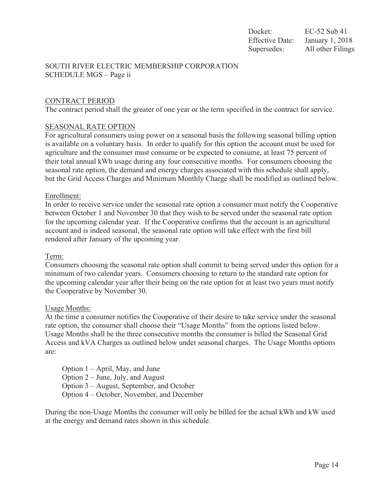# SOUTH RIVER ELECTRIC MEMBERSHIP CORPORATION SCHEDULE MGS – Page ii

# CONTRACT PERIOD

The contract period shall the greater of one year or the term specified in the contract for service.

### SEASONAL RATE OPTION

For agricultural consumers using power on a seasonal basis the following seasonal billing option is available on a voluntary basis. In order to qualify for this option the account must be used for agriculture and the consumer must consume or be expected to consume, at least 75 percent of their total annual kWh usage during any four consecutive months. For consumers choosing the seasonal rate option, the demand and energy charges associated with this schedule shall apply, but the Grid Access Charges and Minimum Monthly Charge shall be modified as outlined below.

### Enrollment:

In order to receive service under the seasonal rate option a consumer must notify the Cooperative between October 1 and November 30 that they wish to be served under the seasonal rate option for the upcoming calendar year. If the Cooperative confirms that the account is an agricultural account and is indeed seasonal, the seasonal rate option will take effect with the first bill rendered after January of the upcoming year.

#### Term:

Consumers choosing the seasonal rate option shall commit to being served under this option for a minimum of two calendar years. Consumers choosing to return to the standard rate option for the upcoming calendar year after their being on the rate option for at least two years must notify the Cooperative by November 30.

#### Usage Months:

At the time a consumer notifies the Cooperative of their desire to take service under the seasonal rate option, the consumer shall choose their "Usage Months" from the options listed below. Usage Months shall be the three consecutive months the consumer is billed the Seasonal Grid Access and kVA Charges as outlined below under seasonal charges. The Usage Months options are:

Option 1 – April, May, and June Option 2 – June, July, and August Option 3 – August, September, and October Option 4 – October, November, and December

During the non-Usage Months the consumer will only be billed for the actual kWh and kW used at the energy and demand rates shown in this schedule.